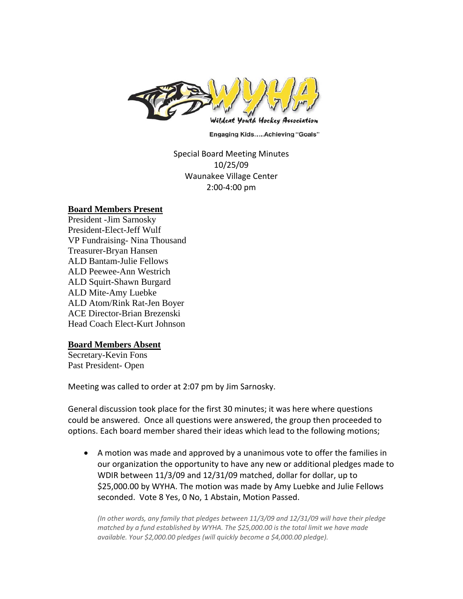

**Engaging Kids.....Achieving "Goals"** 

## Special Board Meeting Minutes 10/25/09 Waunakee Village Center 2:00‐4:00 pm

## **Board Members Present**

President -Jim Sarnosky President-Elect-Jeff Wulf VP Fundraising- Nina Thousand Treasurer-Bryan Hansen ALD Bantam-Julie Fellows ALD Peewee-Ann Westrich ALD Squirt-Shawn Burgard ALD Mite-Amy Luebke ALD Atom/Rink Rat-Jen Boyer ACE Director-Brian Brezenski Head Coach Elect-Kurt Johnson

## **Board Members Absent**

Secretary-Kevin Fons Past President- Open

Meeting was called to order at 2:07 pm by Jim Sarnosky.

General discussion took place for the first 30 minutes; it was here where questions could be answered. Once all questions were answered, the group then proceeded to options. Each board member shared their ideas which lead to the following motions;

• A motion was made and approved by a unanimous vote to offer the families in our organization the opportunity to have any new or additional pledges made to WDIR between 11/3/09 and 12/31/09 matched, dollar for dollar, up to \$25,000.00 by WYHA. The motion was made by Amy Luebke and Julie Fellows seconded. Vote 8 Yes, 0 No, 1 Abstain, Motion Passed.

*(In other words, any family that pledges between 11/3/09 and 12/31/09 will have their pledge matched by a fund established by WYHA. The \$25,000.00 is the total limit we have made available. Your \$2,000.00 pledges (will quickly become a \$4,000.00 pledge).*